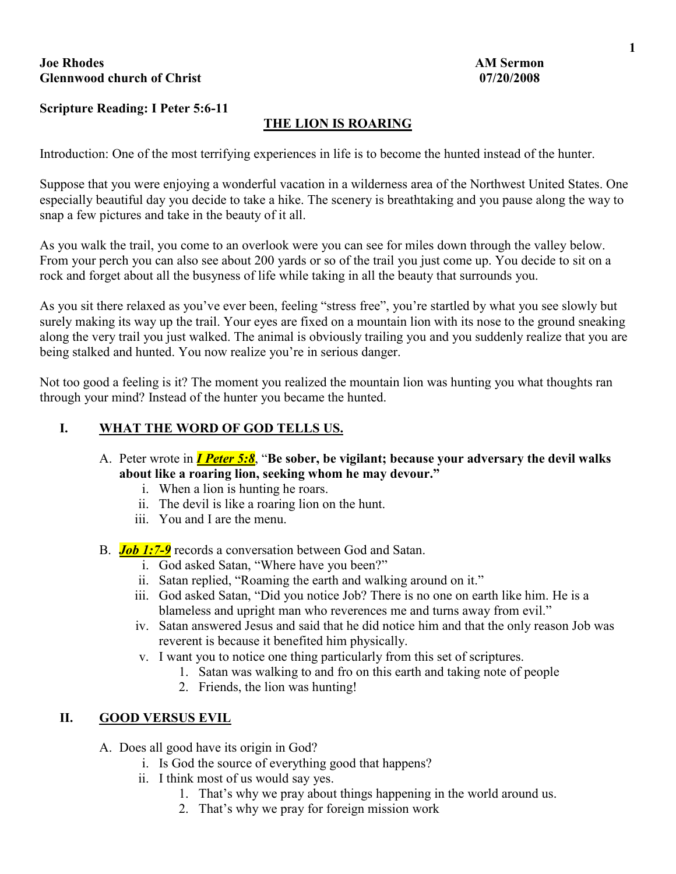# **Joe Rhodes** AM Sermon **AM Sermon Glennwood church of Christ 07/20/2008**

# **Scripture Reading: I Peter 5:6-11**

# **THE LION IS ROARING**

Introduction: One of the most terrifying experiences in life is to become the hunted instead of the hunter.

Suppose that you were enjoying a wonderful vacation in a wilderness area of the Northwest United States. One especially beautiful day you decide to take a hike. The scenery is breathtaking and you pause along the way to snap a few pictures and take in the beauty of it all.

As you walk the trail, you come to an overlook were you can see for miles down through the valley below. From your perch you can also see about 200 yards or so of the trail you just come up. You decide to sit on a rock and forget about all the busyness of life while taking in all the beauty that surrounds you.

As you sit there relaxed as you've ever been, feeling "stress free", you're startled by what you see slowly but surely making its way up the trail. Your eyes are fixed on a mountain lion with its nose to the ground sneaking along the very trail you just walked. The animal is obviously trailing you and you suddenly realize that you are being stalked and hunted. You now realize you're in serious danger.

Not too good a feeling is it? The moment you realized the mountain lion was hunting you what thoughts ran through your mind? Instead of the hunter you became the hunted.

#### **I. WHAT THE WORD OF GOD TELLS US.**

- A. Peter wrote in *I Peter 5:8*, "**Be sober, be vigilant; because your adversary the devil walks about like a roaring lion, seeking whom he may devour."**
	- i. When a lion is hunting he roars.
	- ii. The devil is like a roaring lion on the hunt.
	- iii. You and I are the menu.
- B. *Job 1:7-9* records a conversation between God and Satan.
	- i. God asked Satan, "Where have you been?"
	- ii. Satan replied, "Roaming the earth and walking around on it."
	- iii. God asked Satan, "Did you notice Job? There is no one on earth like him. He is a blameless and upright man who reverences me and turns away from evil."
	- iv. Satan answered Jesus and said that he did notice him and that the only reason Job was reverent is because it benefited him physically.
	- v. I want you to notice one thing particularly from this set of scriptures.
		- 1. Satan was walking to and fro on this earth and taking note of people
			- 2. Friends, the lion was hunting!

## **II. GOOD VERSUS EVIL**

- A. Does all good have its origin in God?
	- i. Is God the source of everything good that happens?
	- ii. I think most of us would say yes.
		- 1. That's why we pray about things happening in the world around us.
		- 2. That's why we pray for foreign mission work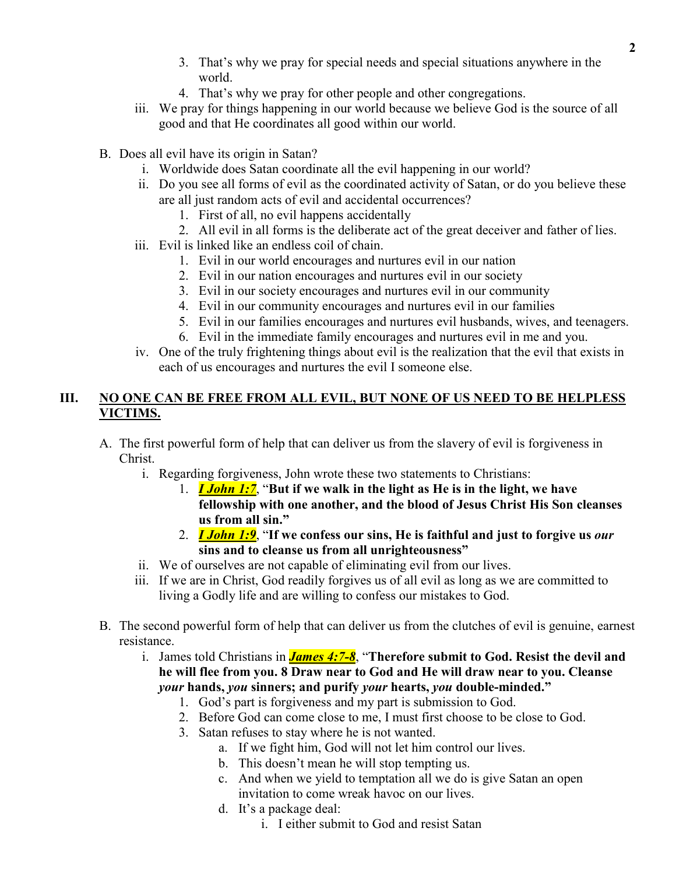- 3. That's why we pray for special needs and special situations anywhere in the world.
- 4. That's why we pray for other people and other congregations.
- iii. We pray for things happening in our world because we believe God is the source of all good and that He coordinates all good within our world.
- B. Does all evil have its origin in Satan?
	- i. Worldwide does Satan coordinate all the evil happening in our world?
	- ii. Do you see all forms of evil as the coordinated activity of Satan, or do you believe these are all just random acts of evil and accidental occurrences?
		- 1. First of all, no evil happens accidentally
		- 2. All evil in all forms is the deliberate act of the great deceiver and father of lies.
	- iii. Evil is linked like an endless coil of chain.
		- 1. Evil in our world encourages and nurtures evil in our nation
		- 2. Evil in our nation encourages and nurtures evil in our society
		- 3. Evil in our society encourages and nurtures evil in our community
		- 4. Evil in our community encourages and nurtures evil in our families
		- 5. Evil in our families encourages and nurtures evil husbands, wives, and teenagers.
		- 6. Evil in the immediate family encourages and nurtures evil in me and you.
	- iv. One of the truly frightening things about evil is the realization that the evil that exists in each of us encourages and nurtures the evil I someone else.

# **III. NO ONE CAN BE FREE FROM ALL EVIL, BUT NONE OF US NEED TO BE HELPLESS VICTIMS.**

- A. The first powerful form of help that can deliver us from the slavery of evil is forgiveness in Christ.
	- i. Regarding forgiveness, John wrote these two statements to Christians:
		- 1. *I John 1:7*, "**But if we walk in the light as He is in the light, we have fellowship with one another, and the blood of Jesus Christ His Son cleanses us from all sin."**
		- 2. *I John 1:9*, "**If we confess our sins, He is faithful and just to forgive us** *our* **sins and to cleanse us from all unrighteousness"**
	- ii. We of ourselves are not capable of eliminating evil from our lives.
	- iii. If we are in Christ, God readily forgives us of all evil as long as we are committed to living a Godly life and are willing to confess our mistakes to God.
- B. The second powerful form of help that can deliver us from the clutches of evil is genuine, earnest resistance.
	- i. James told Christians in *James 4:7-8*, "**Therefore submit to God. Resist the devil and he will flee from you. 8 Draw near to God and He will draw near to you. Cleanse**  *your* **hands,** *you* **sinners; and purify** *your* **hearts,** *you* **double-minded."**
		- 1. God's part is forgiveness and my part is submission to God.
		- 2. Before God can come close to me, I must first choose to be close to God.
		- 3. Satan refuses to stay where he is not wanted.
			- a. If we fight him, God will not let him control our lives.
			- b. This doesn't mean he will stop tempting us.
			- c. And when we yield to temptation all we do is give Satan an open invitation to come wreak havoc on our lives.
			- d. It's a package deal:
				- i. I either submit to God and resist Satan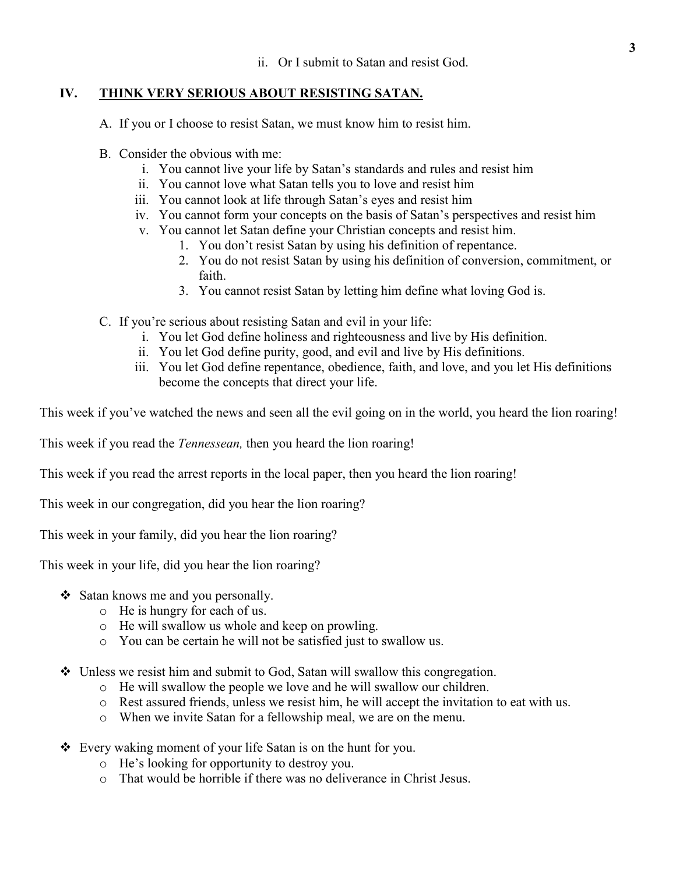# **IV. THINK VERY SERIOUS ABOUT RESISTING SATAN.**

A. If you or I choose to resist Satan, we must know him to resist him.

- B. Consider the obvious with me:
	- i. You cannot live your life by Satan's standards and rules and resist him
	- ii. You cannot love what Satan tells you to love and resist him
	- iii. You cannot look at life through Satan's eyes and resist him
	- iv. You cannot form your concepts on the basis of Satan's perspectives and resist him
	- v. You cannot let Satan define your Christian concepts and resist him.
		- 1. You don't resist Satan by using his definition of repentance.
		- 2. You do not resist Satan by using his definition of conversion, commitment, or faith.
		- 3. You cannot resist Satan by letting him define what loving God is.
- C. If you're serious about resisting Satan and evil in your life:
	- i. You let God define holiness and righteousness and live by His definition.
	- ii. You let God define purity, good, and evil and live by His definitions.
	- iii. You let God define repentance, obedience, faith, and love, and you let His definitions become the concepts that direct your life.

This week if you've watched the news and seen all the evil going on in the world, you heard the lion roaring!

This week if you read the *Tennessean,* then you heard the lion roaring!

This week if you read the arrest reports in the local paper, then you heard the lion roaring!

This week in our congregation, did you hear the lion roaring?

This week in your family, did you hear the lion roaring?

This week in your life, did you hear the lion roaring?

- $\triangleleft$  Satan knows me and you personally.
	- o He is hungry for each of us.
	- o He will swallow us whole and keep on prowling.
	- o You can be certain he will not be satisfied just to swallow us.
- $\div$  Unless we resist him and submit to God, Satan will swallow this congregation.
	- o He will swallow the people we love and he will swallow our children.
	- o Rest assured friends, unless we resist him, he will accept the invitation to eat with us.
	- o When we invite Satan for a fellowship meal, we are on the menu.
- Every waking moment of your life Satan is on the hunt for you.
	- o He's looking for opportunity to destroy you.
	- o That would be horrible if there was no deliverance in Christ Jesus.